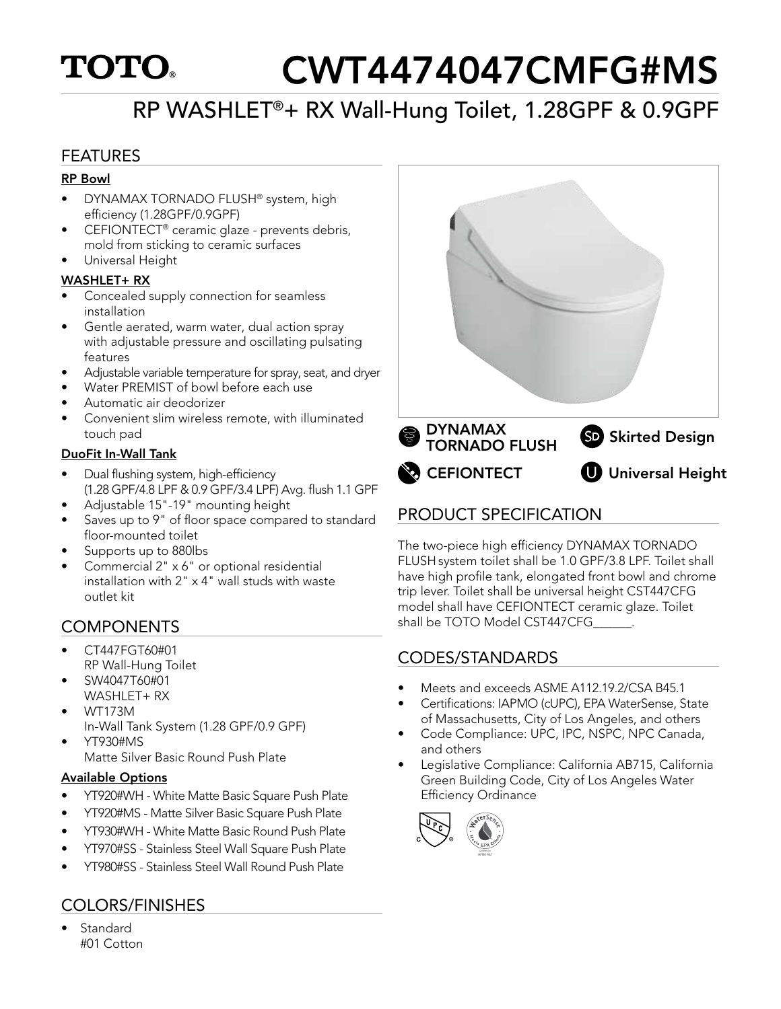# **TOTO.**

# CWT4474047CMFG#MS

# RP WASHLET®+ RX Wall-Hung Toilet, 1.28GPF & 0.9GPF

## FEATURES

#### RP Bowl

- DYNAMAX TORNADO FLUSH® system, high efficiency (1.28GPF/0.9GPF)
- CEFIONTECT® ceramic glaze prevents debris, mold from sticking to ceramic surfaces
- Universal Height

### WASHLET+ RX

- Concealed supply connection for seamless installation
- Gentle aerated, warm water, dual action spray with adjustable pressure and oscillating pulsating features
- Adjustable variable temperature for spray, seat, and dryer
- Water PREMIST of bowl before each use
- Automatic air deodorizer
- Convenient slim wireless remote, with illuminated touch pad

## DuoFit In-Wall Tank

- Dual flushing system, high-efficiency (1.28 GPF/4.8 LPF & 0.9 GPF/3.4 LPF) Avg. flush 1.1 GPF
- Adjustable 15"-19" mounting height
- Saves up to 9" of floor space compared to standard floor-mounted toilet
- Supports up to 880lbs
- Commercial 2" x 6" or optional residential installation with 2" x 4" wall studs with waste outlet kit

## **COMPONENTS**

- CT447FGT60#01 RP Wall-Hung Toilet
- SW4047T60#01 WASHLET+ RX
- WT173M In-Wall Tank System (1.28 GPF/0.9 GPF)
- YT930#MS Matte Silver Basic Round Push Plate

### Available Options

- YT920#WH White Matte Basic Square Push Plate
- YT920#MS Matte Silver Basic Square Push Plate
- YT930#WH White Matte Basic Round Push Plate
- YT970#SS Stainless Steel Wall Square Push Plate
- YT980#SS Stainless Steel Wall Round Push Plate

## COLORS/FINISHES

• Standard #01 Cotton



## PRODUCT SPECIFICATION

The two-piece high efficiency DYNAMAX TORNADO FLUSH system toilet shall be 1.0 GPF/3.8 LPF. Toilet shall have high profile tank, elongated front bowl and chrome trip lever. Toilet shall be universal height CST447CFG model shall have CEFIONTECT ceramic glaze. Toilet shall be TOTO Model CST447CFG

## CODES/STANDARDS

- Meets and exceeds ASME A112.19.2/CSA B45.1
- Certifications: IAPMO (cUPC), EPA WaterSense, State of Massachusetts, City of Los Angeles, and others
- Code Compliance: UPC, IPC, NSPC, NPC Canada, and others
- Legislative Compliance: California AB715, California Green Building Code, City of Los Angeles Water Efficiency Ordinance

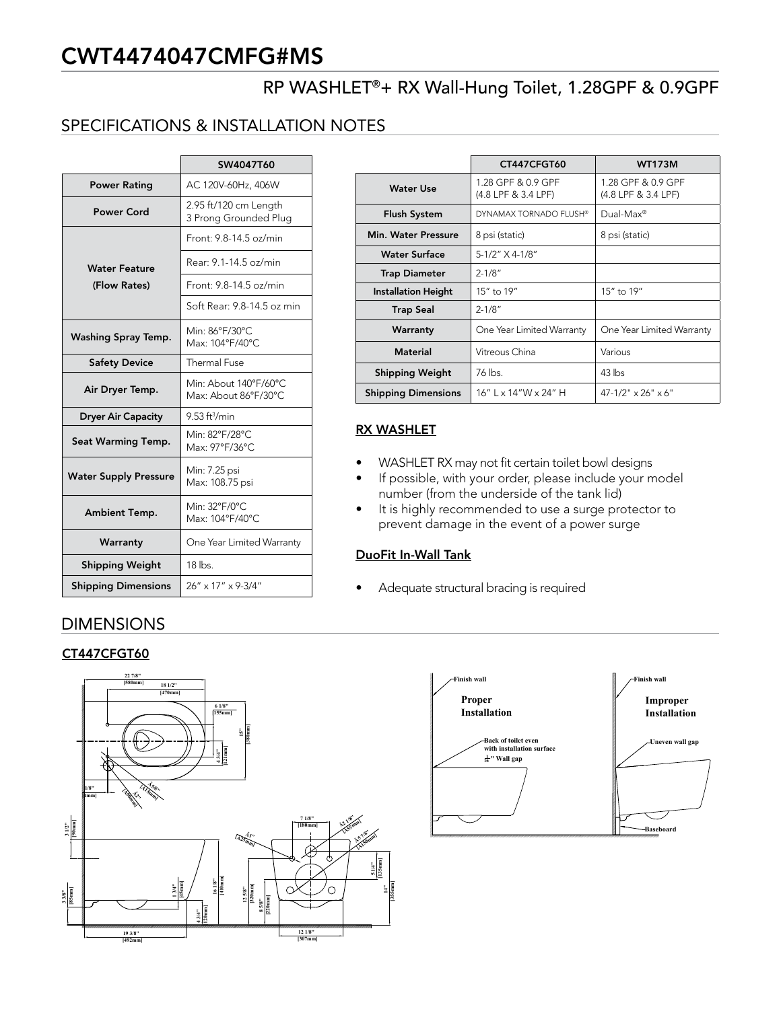# CWT4474047CMFG#MS

## RP WASHLET®+ RX Wall-Hung Toilet, 1.28GPF & 0.9GPF

## SPECIFICATIONS & INSTALLATION NOTES

|                              | SW4047T60                                      |      |
|------------------------------|------------------------------------------------|------|
| <b>Power Rating</b>          | AC 120V-60Hz, 406W                             |      |
| <b>Power Cord</b>            | 2.95 ft/120 cm Length<br>3 Prong Grounded Plug |      |
|                              | Front: 9.8-14.5 oz/min                         |      |
| <b>Water Feature</b>         | Rear: 9.1-14.5 oz/min                          |      |
| (Flow Rates)                 | Front: 9.8-14.5 oz/min                         |      |
|                              | Soft Rear: 9.8-14.5 oz min                     |      |
| Washing Spray Temp.          | Min: 86°F/30°C<br>Max: 104°F/40°C              |      |
| <b>Safety Device</b>         | <b>Thermal Fuse</b>                            |      |
| Air Dryer Temp.              | Min: About 140°F/60°C<br>Max: About 86°F/30°C  | Shi  |
| <b>Dryer Air Capacity</b>    | $9.53$ ft <sup>3</sup> /min                    |      |
| Seat Warming Temp.           | Min: 82°F/28°C<br>Max: 97°F/36°C               | RX V |
| <b>Water Supply Pressure</b> | Min: 7.25 psi<br>Max: 108.75 psi               |      |
| Ambient Temp.                | Min: 32°F/0°C<br>Max: 104°F/40°C               |      |
| Warranty                     | One Year Limited Warranty                      |      |
| <b>Shipping Weight</b>       | $18$ lbs.                                      | Duo  |
| <b>Shipping Dimensions</b>   | 26" x 17" x 9-3/4"                             |      |

## DIMENSIONS

#### CT447CFGT60



|                            | CT447CFGT60                               | <b>WT173M</b>                             |
|----------------------------|-------------------------------------------|-------------------------------------------|
| Water Use                  | 1.28 GPF & 0.9 GPF<br>(4.8 LPF & 3.4 LPF) | 1.28 GPF & 0.9 GPF<br>(4.8 LPF & 3.4 LPF) |
| <b>Flush System</b>        | DYNAMAX TORNADO FLUSH®                    | Dual-Max <sup>®</sup>                     |
| Min. Water Pressure        | 8 psi (static)                            | 8 psi (static)                            |
| <b>Water Surface</b>       | 5-1/2" X 4-1/8"                           |                                           |
| <b>Trap Diameter</b>       | $2 - 1/8"$                                |                                           |
| <b>Installation Height</b> | 15" to 19"                                | 15" to 19"                                |
| <b>Trap Seal</b>           | $2 - 1/8"$                                |                                           |
| Warranty                   | One Year Limited Warranty                 | One Year Limited Warranty                 |
| <b>Material</b>            | Vitreous China                            | Various                                   |
| <b>Shipping Weight</b>     | 76 lbs                                    | $43$ lbs                                  |
| <b>Shipping Dimensions</b> | 16"   x 14"W x 24" H                      | $47 - 1/2$ " $\times$ 26" $\times$ 6"     |

#### RX WASHLET

- WASHLET RX may not fit certain toilet bowl designs
- If possible, with your order, please include your model number (from the underside of the tank lid)
- **Back of the United States of the event of a power surge** • It is highly recommended to use a surge protector to

#### DuoFit In-Wall Tank

**Baseboard**

• Adequate structural bracing is required